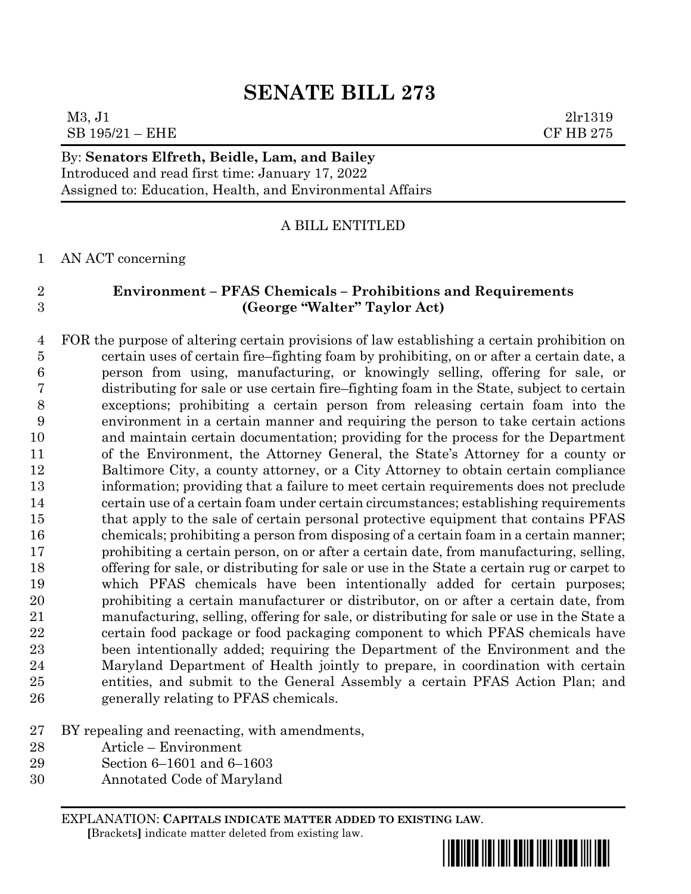## M3, J1 2lr1319  $SB$  195/21 – EHE  $CF$  HB 275

## By: **Senators Elfreth, Beidle, Lam, and Bailey**

Introduced and read first time: January 17, 2022 Assigned to: Education, Health, and Environmental Affairs

## A BILL ENTITLED

AN ACT concerning

## **Environment – PFAS Chemicals – Prohibitions and Requirements (George "Walter" Taylor Act)**

 FOR the purpose of altering certain provisions of law establishing a certain prohibition on certain uses of certain fire–fighting foam by prohibiting, on or after a certain date, a person from using, manufacturing, or knowingly selling, offering for sale, or distributing for sale or use certain fire–fighting foam in the State, subject to certain exceptions; prohibiting a certain person from releasing certain foam into the environment in a certain manner and requiring the person to take certain actions and maintain certain documentation; providing for the process for the Department of the Environment, the Attorney General, the State's Attorney for a county or Baltimore City, a county attorney, or a City Attorney to obtain certain compliance information; providing that a failure to meet certain requirements does not preclude certain use of a certain foam under certain circumstances; establishing requirements that apply to the sale of certain personal protective equipment that contains PFAS chemicals; prohibiting a person from disposing of a certain foam in a certain manner; prohibiting a certain person, on or after a certain date, from manufacturing, selling, offering for sale, or distributing for sale or use in the State a certain rug or carpet to which PFAS chemicals have been intentionally added for certain purposes; prohibiting a certain manufacturer or distributor, on or after a certain date, from manufacturing, selling, offering for sale, or distributing for sale or use in the State a certain food package or food packaging component to which PFAS chemicals have been intentionally added; requiring the Department of the Environment and the Maryland Department of Health jointly to prepare, in coordination with certain entities, and submit to the General Assembly a certain PFAS Action Plan; and generally relating to PFAS chemicals.

## BY repealing and reenacting, with amendments,

- Article Environment
- Section 6–1601 and 6–1603
- Annotated Code of Maryland

EXPLANATION: **CAPITALS INDICATE MATTER ADDED TO EXISTING LAW**.  **[**Brackets**]** indicate matter deleted from existing law.

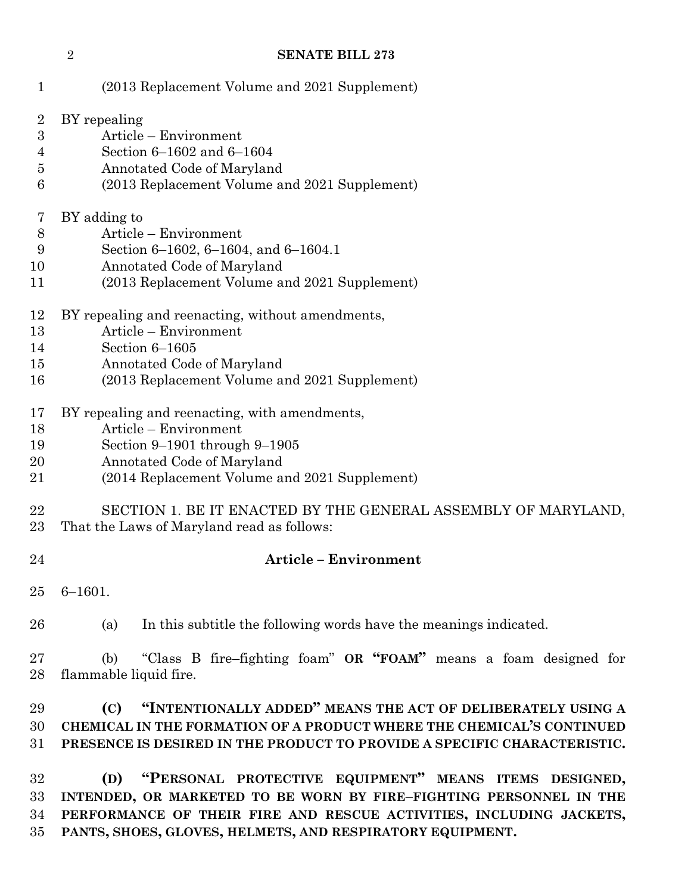| $\mathbf{1}$                                                   | (2013 Replacement Volume and 2021 Supplement)                                                                                                                                                                                                                          |  |  |
|----------------------------------------------------------------|------------------------------------------------------------------------------------------------------------------------------------------------------------------------------------------------------------------------------------------------------------------------|--|--|
| $\overline{2}$<br>$\boldsymbol{3}$<br>$\overline{4}$<br>5<br>6 | BY repealing<br>Article - Environment<br>Section 6-1602 and 6-1604<br>Annotated Code of Maryland<br>(2013 Replacement Volume and 2021 Supplement)                                                                                                                      |  |  |
| 7<br>$8\,$<br>9<br>10<br>11                                    | BY adding to<br>Article – Environment<br>Section 6-1602, 6-1604, and 6-1604.1<br>Annotated Code of Maryland<br>(2013 Replacement Volume and 2021 Supplement)                                                                                                           |  |  |
| 12<br>13<br>14<br>15<br>16                                     | BY repealing and reenacting, without amendments,<br>Article - Environment<br>Section 6-1605<br>Annotated Code of Maryland<br>(2013 Replacement Volume and 2021 Supplement)                                                                                             |  |  |
| 17<br>18<br>19<br>20<br>21                                     | BY repealing and reenacting, with amendments,<br>Article - Environment<br>Section $9-1901$ through $9-1905$<br>Annotated Code of Maryland<br>(2014 Replacement Volume and 2021 Supplement)                                                                             |  |  |
| 22<br>23                                                       | SECTION 1. BE IT ENACTED BY THE GENERAL ASSEMBLY OF MARYLAND,<br>That the Laws of Maryland read as follows:                                                                                                                                                            |  |  |
| 24                                                             | <b>Article - Environment</b>                                                                                                                                                                                                                                           |  |  |
| 25                                                             | $6 - 1601.$                                                                                                                                                                                                                                                            |  |  |
| 26                                                             | In this subtitle the following words have the meanings indicated.<br>(a)                                                                                                                                                                                               |  |  |
| 27<br>28                                                       | "Class B fire-fighting foam" OR "FOAM" means a foam designed for<br>(b)<br>flammable liquid fire.                                                                                                                                                                      |  |  |
| 29<br>30<br>31                                                 | "INTENTIONALLY ADDED" MEANS THE ACT OF DELIBERATELY USING A<br>(C)<br>CHEMICAL IN THE FORMATION OF A PRODUCT WHERE THE CHEMICAL'S CONTINUED<br>PRESENCE IS DESIRED IN THE PRODUCT TO PROVIDE A SPECIFIC CHARACTERISTIC.                                                |  |  |
| 32<br>33<br>34<br>35                                           | "PERSONAL PROTECTIVE EQUIPMENT" MEANS ITEMS DESIGNED,<br>(D)<br>INTENDED, OR MARKETED TO BE WORN BY FIRE-FIGHTING PERSONNEL IN THE<br>PERFORMANCE OF THEIR FIRE AND RESCUE ACTIVITIES, INCLUDING JACKETS,<br>PANTS, SHOES, GLOVES, HELMETS, AND RESPIRATORY EQUIPMENT. |  |  |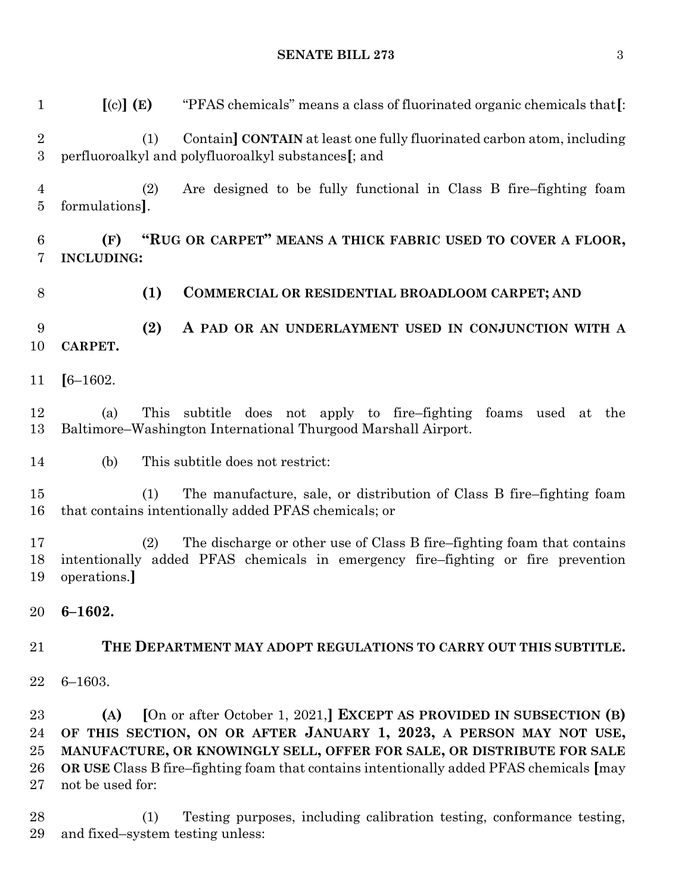**[**(c)**] (E)** "PFAS chemicals" means a class of fluorinated organic chemicals that**[**: (1) Contain**] CONTAIN** at least one fully fluorinated carbon atom, including perfluoroalkyl and polyfluoroalkyl substances**[**; and (2) Are designed to be fully functional in Class B fire–fighting foam formulations**]**. **(F) "RUG OR CARPET" MEANS A THICK FABRIC USED TO COVER A FLOOR, INCLUDING: (1) COMMERCIAL OR RESIDENTIAL BROADLOOM CARPET; AND (2) A PAD OR AN UNDERLAYMENT USED IN CONJUNCTION WITH A CARPET. [**6–1602. (a) This subtitle does not apply to fire–fighting foams used at the Baltimore–Washington International Thurgood Marshall Airport. (b) This subtitle does not restrict: (1) The manufacture, sale, or distribution of Class B fire–fighting foam that contains intentionally added PFAS chemicals; or (2) The discharge or other use of Class B fire–fighting foam that contains intentionally added PFAS chemicals in emergency fire–fighting or fire prevention operations.**] 6–1602. THE DEPARTMENT MAY ADOPT REGULATIONS TO CARRY OUT THIS SUBTITLE.** 6–1603. **(A) [**On or after October 1, 2021,**] EXCEPT AS PROVIDED IN SUBSECTION (B) OF THIS SECTION, ON OR AFTER JANUARY 1, 2023, A PERSON MAY NOT USE, MANUFACTURE, OR KNOWINGLY SELL, OFFER FOR SALE, OR DISTRIBUTE FOR SALE OR USE** Class B fire–fighting foam that contains intentionally added PFAS chemicals **[**may not be used for: (1) Testing purposes, including calibration testing, conformance testing, and fixed–system testing unless:

#### **SENATE BILL 273** 3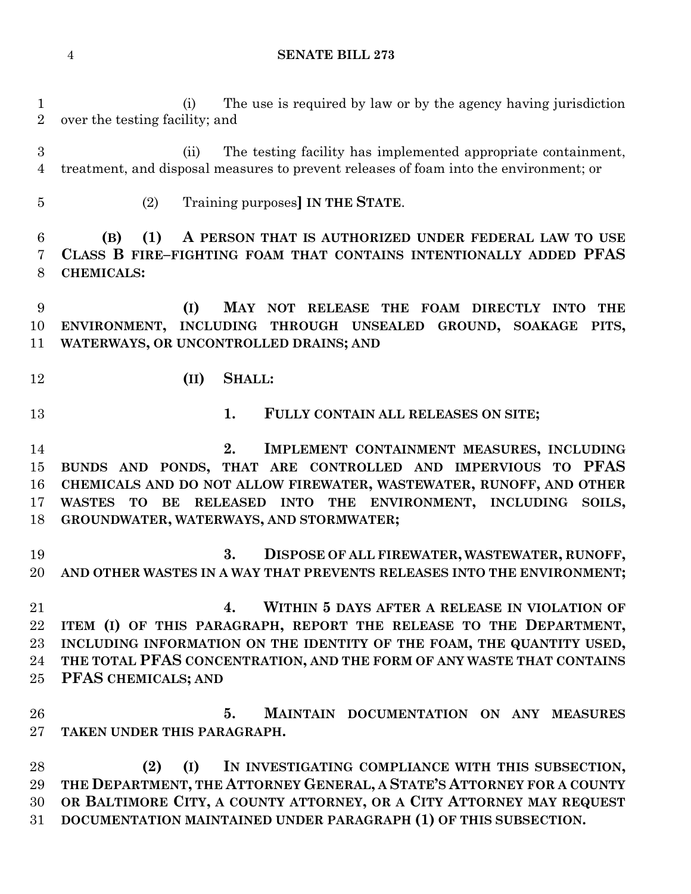(i) The use is required by law or by the agency having jurisdiction over the testing facility; and

 (ii) The testing facility has implemented appropriate containment, treatment, and disposal measures to prevent releases of foam into the environment; or

(2) Training purposes**] IN THE STATE**.

 **(B) (1) A PERSON THAT IS AUTHORIZED UNDER FEDERAL LAW TO USE CLASS B FIRE–FIGHTING FOAM THAT CONTAINS INTENTIONALLY ADDED PFAS CHEMICALS:**

 **(I) MAY NOT RELEASE THE FOAM DIRECTLY INTO THE ENVIRONMENT, INCLUDING THROUGH UNSEALED GROUND, SOAKAGE PITS, WATERWAYS, OR UNCONTROLLED DRAINS; AND**

- **(II) SHALL:**
- 

**1. FULLY CONTAIN ALL RELEASES ON SITE;**

 **2. IMPLEMENT CONTAINMENT MEASURES, INCLUDING BUNDS AND PONDS, THAT ARE CONTROLLED AND IMPERVIOUS TO PFAS CHEMICALS AND DO NOT ALLOW FIREWATER, WASTEWATER, RUNOFF, AND OTHER WASTES TO BE RELEASED INTO THE ENVIRONMENT, INCLUDING SOILS, GROUNDWATER, WATERWAYS, AND STORMWATER;**

 **3. DISPOSE OF ALL FIREWATER, WASTEWATER, RUNOFF, AND OTHER WASTES IN A WAY THAT PREVENTS RELEASES INTO THE ENVIRONMENT;**

 **4. WITHIN 5 DAYS AFTER A RELEASE IN VIOLATION OF ITEM (I) OF THIS PARAGRAPH, REPORT THE RELEASE TO THE DEPARTMENT, INCLUDING INFORMATION ON THE IDENTITY OF THE FOAM, THE QUANTITY USED, THE TOTAL PFAS CONCENTRATION, AND THE FORM OF ANY WASTE THAT CONTAINS PFAS CHEMICALS; AND**

 **5. MAINTAIN DOCUMENTATION ON ANY MEASURES TAKEN UNDER THIS PARAGRAPH.**

 **(2) (I) IN INVESTIGATING COMPLIANCE WITH THIS SUBSECTION, THE DEPARTMENT, THE ATTORNEY GENERAL, A STATE'S ATTORNEY FOR A COUNTY OR BALTIMORE CITY, A COUNTY ATTORNEY, OR A CITY ATTORNEY MAY REQUEST DOCUMENTATION MAINTAINED UNDER PARAGRAPH (1) OF THIS SUBSECTION.**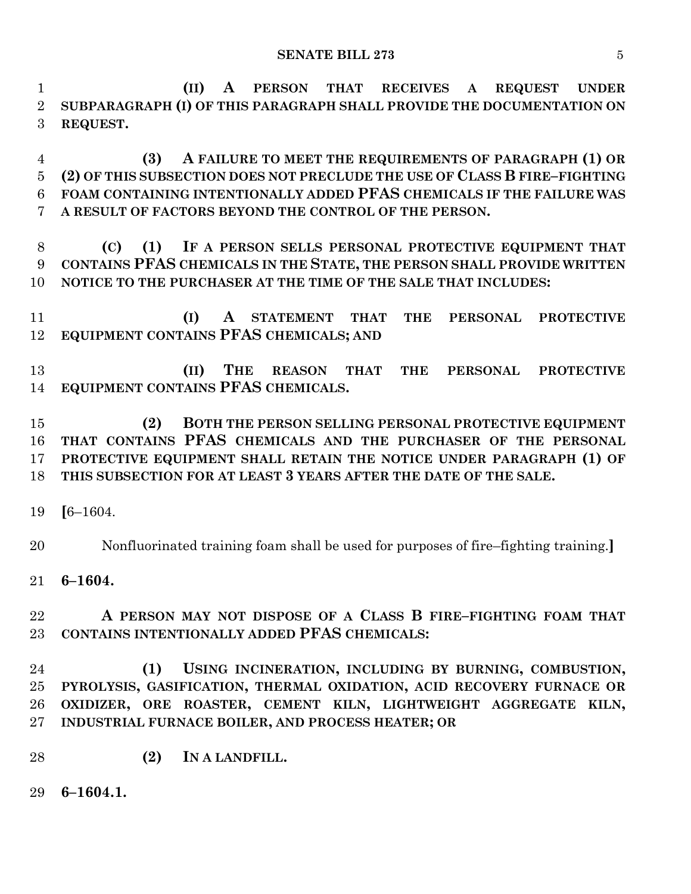**(II) A PERSON THAT RECEIVES A REQUEST UNDER SUBPARAGRAPH (I) OF THIS PARAGRAPH SHALL PROVIDE THE DOCUMENTATION ON REQUEST.**

 **(3) A FAILURE TO MEET THE REQUIREMENTS OF PARAGRAPH (1) OR (2) OF THIS SUBSECTION DOES NOT PRECLUDE THE USE OF CLASS B FIRE–FIGHTING FOAM CONTAINING INTENTIONALLY ADDED PFAS CHEMICALS IF THE FAILURE WAS A RESULT OF FACTORS BEYOND THE CONTROL OF THE PERSON.**

 **(C) (1) IF A PERSON SELLS PERSONAL PROTECTIVE EQUIPMENT THAT CONTAINS PFAS CHEMICALS IN THE STATE, THE PERSON SHALL PROVIDE WRITTEN NOTICE TO THE PURCHASER AT THE TIME OF THE SALE THAT INCLUDES:**

 **(I) A STATEMENT THAT THE PERSONAL PROTECTIVE EQUIPMENT CONTAINS PFAS CHEMICALS; AND**

 **(II) THE REASON THAT THE PERSONAL PROTECTIVE EQUIPMENT CONTAINS PFAS CHEMICALS.**

 **(2) BOTH THE PERSON SELLING PERSONAL PROTECTIVE EQUIPMENT THAT CONTAINS PFAS CHEMICALS AND THE PURCHASER OF THE PERSONAL PROTECTIVE EQUIPMENT SHALL RETAIN THE NOTICE UNDER PARAGRAPH (1) OF THIS SUBSECTION FOR AT LEAST 3 YEARS AFTER THE DATE OF THE SALE.**

**[**6–1604.

Nonfluorinated training foam shall be used for purposes of fire–fighting training.**]**

**6–1604.**

 **A PERSON MAY NOT DISPOSE OF A CLASS B FIRE–FIGHTING FOAM THAT CONTAINS INTENTIONALLY ADDED PFAS CHEMICALS:**

 **(1) USING INCINERATION, INCLUDING BY BURNING, COMBUSTION, PYROLYSIS, GASIFICATION, THERMAL OXIDATION, ACID RECOVERY FURNACE OR OXIDIZER, ORE ROASTER, CEMENT KILN, LIGHTWEIGHT AGGREGATE KILN, INDUSTRIAL FURNACE BOILER, AND PROCESS HEATER; OR**

- **(2) IN A LANDFILL.**
- **6–1604.1.**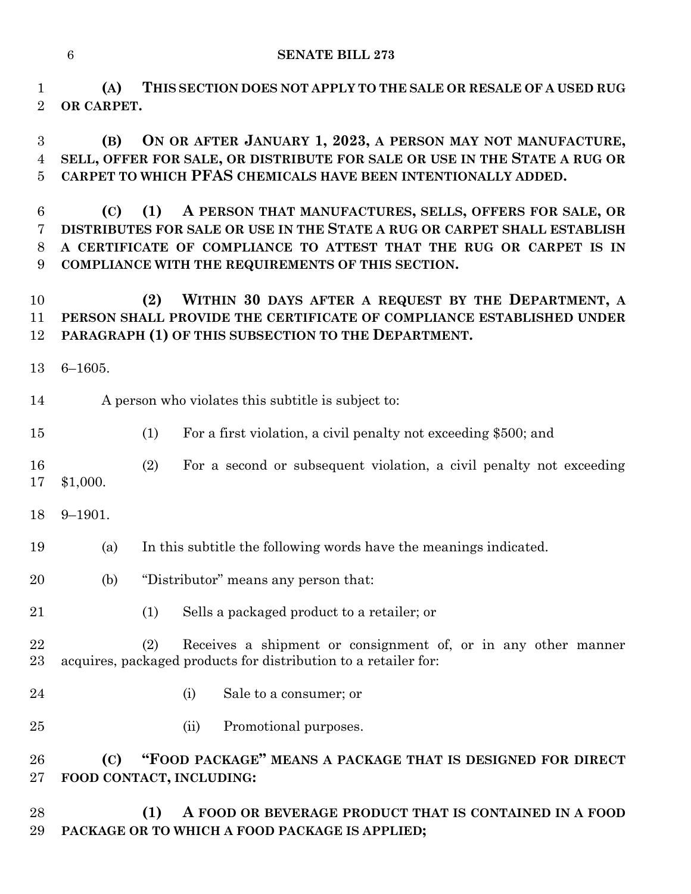**(A) THIS SECTION DOES NOT APPLY TO THE SALE OR RESALE OF A USED RUG OR CARPET.**

 **(B) ON OR AFTER JANUARY 1, 2023, A PERSON MAY NOT MANUFACTURE, SELL, OFFER FOR SALE, OR DISTRIBUTE FOR SALE OR USE IN THE STATE A RUG OR CARPET TO WHICH PFAS CHEMICALS HAVE BEEN INTENTIONALLY ADDED.**

 **(C) (1) A PERSON THAT MANUFACTURES, SELLS, OFFERS FOR SALE, OR DISTRIBUTES FOR SALE OR USE IN THE STATE A RUG OR CARPET SHALL ESTABLISH A CERTIFICATE OF COMPLIANCE TO ATTEST THAT THE RUG OR CARPET IS IN COMPLIANCE WITH THE REQUIREMENTS OF THIS SECTION.**

 **(2) WITHIN 30 DAYS AFTER A REQUEST BY THE DEPARTMENT, A PERSON SHALL PROVIDE THE CERTIFICATE OF COMPLIANCE ESTABLISHED UNDER PARAGRAPH (1) OF THIS SUBSECTION TO THE DEPARTMENT.**

- 6–1605.
- A person who violates this subtitle is subject to:
- (1) For a first violation, a civil penalty not exceeding \$500; and

### (2) For a second or subsequent violation, a civil penalty not exceeding \$1,000.

- 9–1901.
- (a) In this subtitle the following words have the meanings indicated.
- (b) "Distributor" means any person that:
- (1) Sells a packaged product to a retailer; or
- (2) Receives a shipment or consignment of, or in any other manner acquires, packaged products for distribution to a retailer for:
- (i) Sale to a consumer; or
- (ii) Promotional purposes.

 **(C) "FOOD PACKAGE" MEANS A PACKAGE THAT IS DESIGNED FOR DIRECT FOOD CONTACT, INCLUDING:**

 **(1) A FOOD OR BEVERAGE PRODUCT THAT IS CONTAINED IN A FOOD PACKAGE OR TO WHICH A FOOD PACKAGE IS APPLIED;**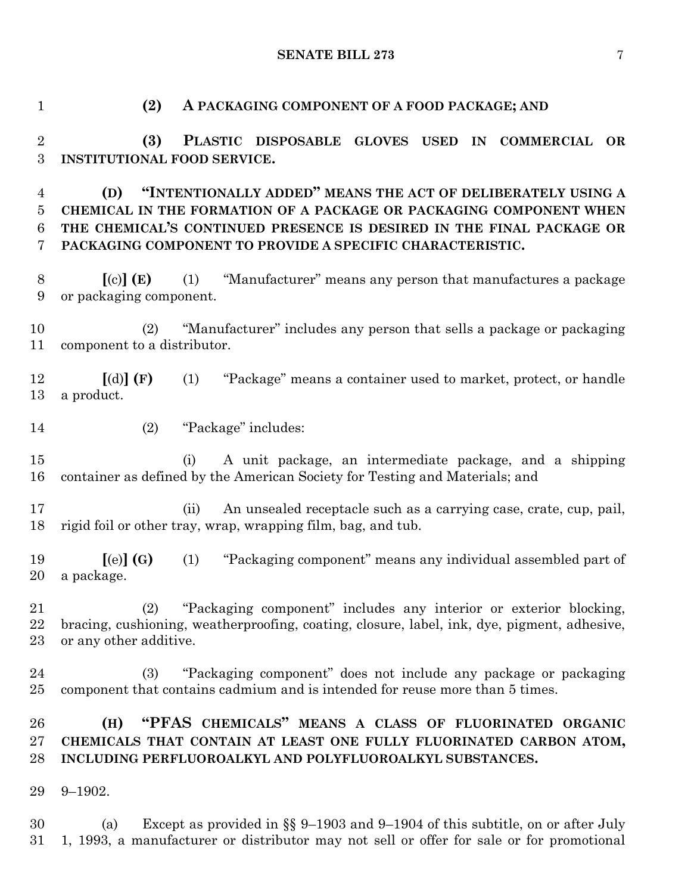**SENATE BILL 273** 7

 **(2) A PACKAGING COMPONENT OF A FOOD PACKAGE; AND (3) PLASTIC DISPOSABLE GLOVES USED IN COMMERCIAL OR INSTITUTIONAL FOOD SERVICE. (D) "INTENTIONALLY ADDED" MEANS THE ACT OF DELIBERATELY USING A CHEMICAL IN THE FORMATION OF A PACKAGE OR PACKAGING COMPONENT WHEN THE CHEMICAL'S CONTINUED PRESENCE IS DESIRED IN THE FINAL PACKAGE OR PACKAGING COMPONENT TO PROVIDE A SPECIFIC CHARACTERISTIC. [**(c)**] (E)** (1) "Manufacturer" means any person that manufactures a package or packaging component. (2) "Manufacturer" includes any person that sells a package or packaging component to a distributor. **[**(d)**] (F)** (1) "Package" means a container used to market, protect, or handle a product. (2) "Package" includes: (i) A unit package, an intermediate package, and a shipping container as defined by the American Society for Testing and Materials; and (ii) An unsealed receptacle such as a carrying case, crate, cup, pail, rigid foil or other tray, wrap, wrapping film, bag, and tub. **[**(e)**] (G)** (1) "Packaging component" means any individual assembled part of a package. (2) "Packaging component" includes any interior or exterior blocking, bracing, cushioning, weatherproofing, coating, closure, label, ink, dye, pigment, adhesive, or any other additive. (3) "Packaging component" does not include any package or packaging component that contains cadmium and is intended for reuse more than 5 times. **(H) "PFAS CHEMICALS" MEANS A CLASS OF FLUORINATED ORGANIC CHEMICALS THAT CONTAIN AT LEAST ONE FULLY FLUORINATED CARBON ATOM, INCLUDING PERFLUOROALKYL AND POLYFLUOROALKYL SUBSTANCES.** 9–1902. (a) Except as provided in §§ 9–1903 and 9–1904 of this subtitle, on or after July 1, 1993, a manufacturer or distributor may not sell or offer for sale or for promotional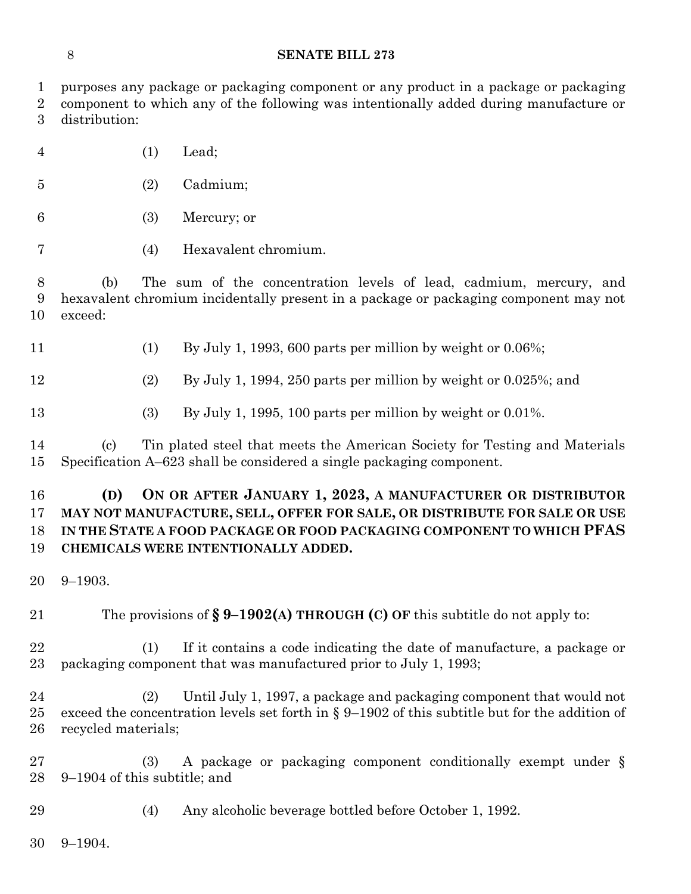purposes any package or packaging component or any product in a package or packaging

| $\overline{2}$<br>3  | component to which any of the following was intentionally added during manufacture or<br>distribution:                                                                                                                                                        |                                                                                                                                            |  |
|----------------------|---------------------------------------------------------------------------------------------------------------------------------------------------------------------------------------------------------------------------------------------------------------|--------------------------------------------------------------------------------------------------------------------------------------------|--|
| $\overline{4}$       | (1)                                                                                                                                                                                                                                                           | Lead;                                                                                                                                      |  |
| $\overline{5}$       | (2)                                                                                                                                                                                                                                                           | Cadmium;                                                                                                                                   |  |
| 6                    | (3)                                                                                                                                                                                                                                                           | Mercury; or                                                                                                                                |  |
| 7                    | (4)                                                                                                                                                                                                                                                           | Hexavalent chromium.                                                                                                                       |  |
| 8<br>9<br>10         | The sum of the concentration levels of lead, cadmium, mercury, and<br>(b)<br>hexavalent chromium incidentally present in a package or packaging component may not<br>exceed:                                                                                  |                                                                                                                                            |  |
| 11                   | (1)                                                                                                                                                                                                                                                           | By July 1, 1993, 600 parts per million by weight or $0.06\%$ ;                                                                             |  |
| 12                   | (2)                                                                                                                                                                                                                                                           | By July 1, 1994, 250 parts per million by weight or $0.025\%$ ; and                                                                        |  |
| 13                   | (3)                                                                                                                                                                                                                                                           | By July 1, 1995, 100 parts per million by weight or $0.01\%$ .                                                                             |  |
| 14<br>15             | Tin plated steel that meets the American Society for Testing and Materials<br>$\left( \mathrm{c}\right)$<br>Specification A–623 shall be considered a single packaging component.                                                                             |                                                                                                                                            |  |
| 16<br>17<br>18<br>19 | ON OR AFTER JANUARY 1, 2023, A MANUFACTURER OR DISTRIBUTOR<br>(D)<br>MAY NOT MANUFACTURE, SELL, OFFER FOR SALE, OR DISTRIBUTE FOR SALE OR USE<br>IN THE STATE A FOOD PACKAGE OR FOOD PACKAGING COMPONENT TO WHICH PFAS<br>CHEMICALS WERE INTENTIONALLY ADDED. |                                                                                                                                            |  |
| 20                   | $9 - 1903.$                                                                                                                                                                                                                                                   |                                                                                                                                            |  |
| 21                   | The provisions of $\S 9-1902(A)$ THROUGH (C) OF this subtitle do not apply to:                                                                                                                                                                                |                                                                                                                                            |  |
| 22<br>23             | (1)                                                                                                                                                                                                                                                           | If it contains a code indicating the date of manufacture, a package or<br>packaging component that was manufactured prior to July 1, 1993; |  |
| 24<br>25<br>26       | Until July 1, 1997, a package and packaging component that would not<br>(2)<br>exceed the concentration levels set forth in $\S 9-1902$ of this subtitle but for the addition of<br>recycled materials;                                                       |                                                                                                                                            |  |
| 27<br>28             | (3)<br>9–1904 of this subtitle; and                                                                                                                                                                                                                           | A package or packaging component conditionally exempt under §                                                                              |  |
| 29                   | (4)                                                                                                                                                                                                                                                           | Any alcoholic beverage bottled before October 1, 1992.                                                                                     |  |
| 30                   | $9 - 1904.$                                                                                                                                                                                                                                                   |                                                                                                                                            |  |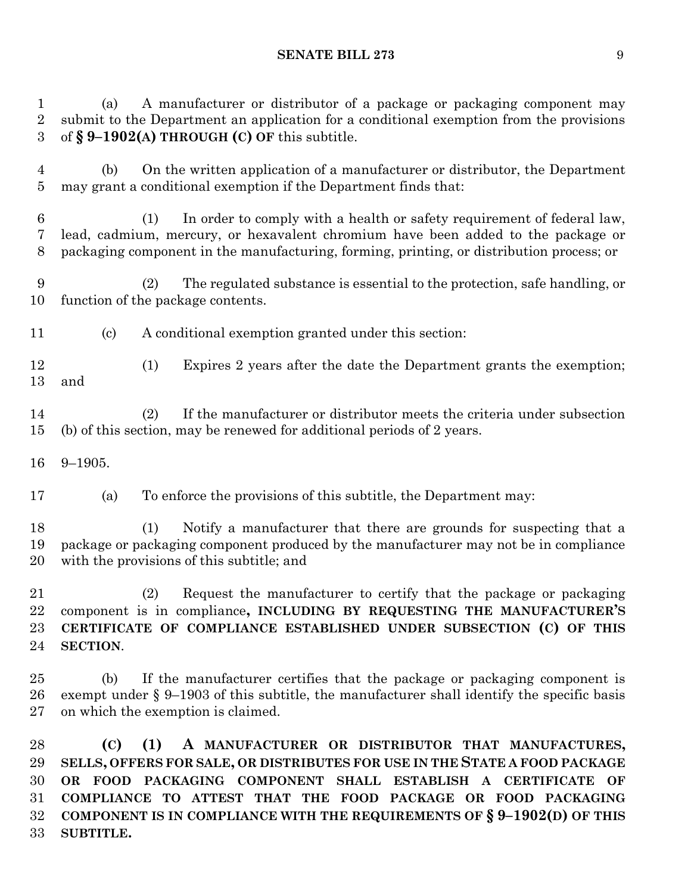#### **SENATE BILL 273** 9

 (a) A manufacturer or distributor of a package or packaging component may submit to the Department an application for a conditional exemption from the provisions of **§ 9–1902(A) THROUGH (C) OF** this subtitle.

 (b) On the written application of a manufacturer or distributor, the Department may grant a conditional exemption if the Department finds that:

 (1) In order to comply with a health or safety requirement of federal law, lead, cadmium, mercury, or hexavalent chromium have been added to the package or packaging component in the manufacturing, forming, printing, or distribution process; or

 (2) The regulated substance is essential to the protection, safe handling, or function of the package contents.

- (c) A conditional exemption granted under this section:
- (1) Expires 2 years after the date the Department grants the exemption; and

 (2) If the manufacturer or distributor meets the criteria under subsection (b) of this section, may be renewed for additional periods of 2 years.

9–1905.

(a) To enforce the provisions of this subtitle, the Department may:

 (1) Notify a manufacturer that there are grounds for suspecting that a package or packaging component produced by the manufacturer may not be in compliance with the provisions of this subtitle; and

 (2) Request the manufacturer to certify that the package or packaging component is in compliance**, INCLUDING BY REQUESTING THE MANUFACTURER'S CERTIFICATE OF COMPLIANCE ESTABLISHED UNDER SUBSECTION (C) OF THIS SECTION**.

 (b) If the manufacturer certifies that the package or packaging component is exempt under § 9–1903 of this subtitle, the manufacturer shall identify the specific basis on which the exemption is claimed.

 **(C) (1) A MANUFACTURER OR DISTRIBUTOR THAT MANUFACTURES, SELLS, OFFERS FOR SALE, OR DISTRIBUTES FOR USE IN THE STATE A FOOD PACKAGE OR FOOD PACKAGING COMPONENT SHALL ESTABLISH A CERTIFICATE OF COMPLIANCE TO ATTEST THAT THE FOOD PACKAGE OR FOOD PACKAGING COMPONENT IS IN COMPLIANCE WITH THE REQUIREMENTS OF § 9–1902(D) OF THIS SUBTITLE.**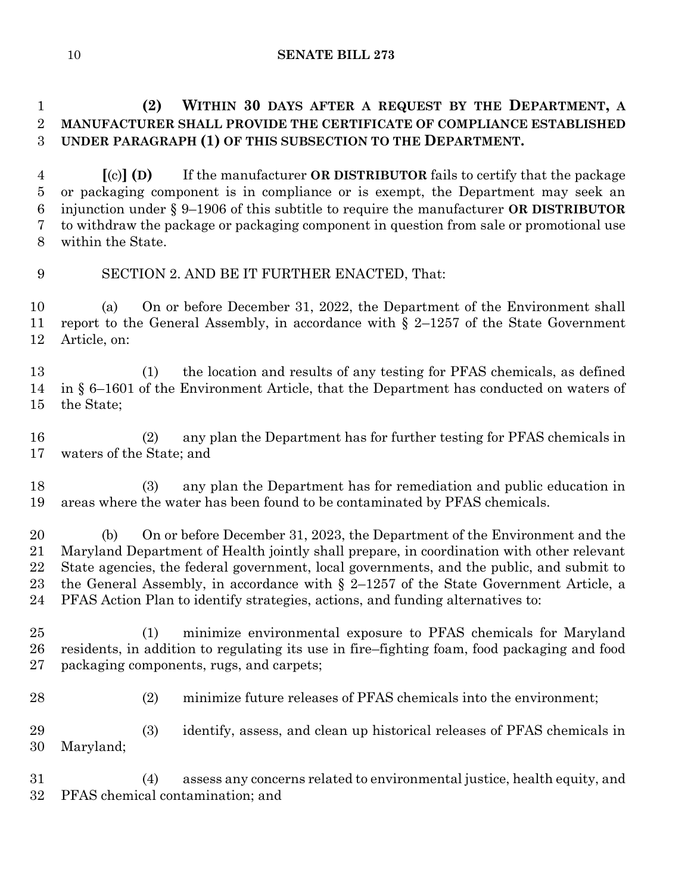## **(2) WITHIN 30 DAYS AFTER A REQUEST BY THE DEPARTMENT, A MANUFACTURER SHALL PROVIDE THE CERTIFICATE OF COMPLIANCE ESTABLISHED UNDER PARAGRAPH (1) OF THIS SUBSECTION TO THE DEPARTMENT.**

 **[**(c)**] (D)** If the manufacturer **OR DISTRIBUTOR** fails to certify that the package or packaging component is in compliance or is exempt, the Department may seek an injunction under § 9–1906 of this subtitle to require the manufacturer **OR DISTRIBUTOR**  to withdraw the package or packaging component in question from sale or promotional use within the State.

## SECTION 2. AND BE IT FURTHER ENACTED, That:

 (a) On or before December 31, 2022, the Department of the Environment shall report to the General Assembly, in accordance with § 2–1257 of the State Government Article, on:

 (1) the location and results of any testing for PFAS chemicals, as defined in § 6–1601 of the Environment Article, that the Department has conducted on waters of the State;

 (2) any plan the Department has for further testing for PFAS chemicals in waters of the State; and

 (3) any plan the Department has for remediation and public education in areas where the water has been found to be contaminated by PFAS chemicals.

 (b) On or before December 31, 2023, the Department of the Environment and the Maryland Department of Health jointly shall prepare, in coordination with other relevant State agencies, the federal government, local governments, and the public, and submit to the General Assembly, in accordance with § 2–1257 of the State Government Article, a PFAS Action Plan to identify strategies, actions, and funding alternatives to:

 (1) minimize environmental exposure to PFAS chemicals for Maryland residents, in addition to regulating its use in fire–fighting foam, food packaging and food packaging components, rugs, and carpets;

(2) minimize future releases of PFAS chemicals into the environment;

 (3) identify, assess, and clean up historical releases of PFAS chemicals in Maryland;

 (4) assess any concerns related to environmental justice, health equity, and PFAS chemical contamination; and